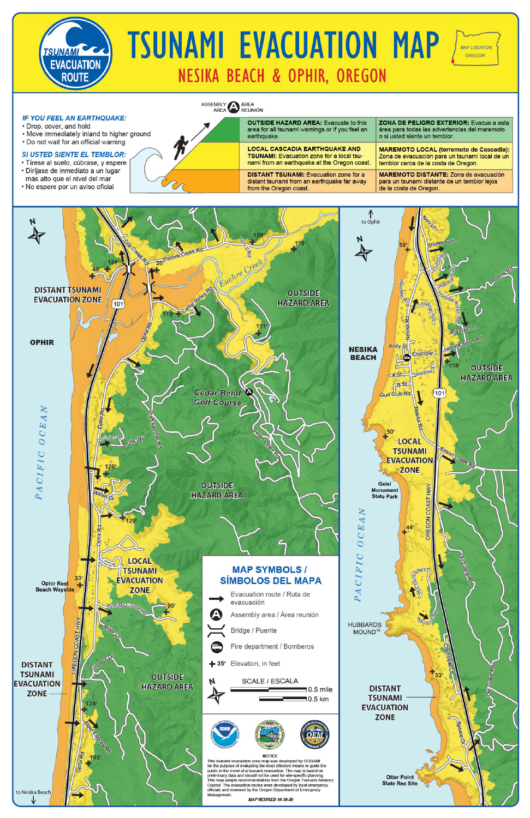

# **TSUNAMI EVACUATION MAP NESIKA BEACH & OPHIR, OREGON**

**MAP LOCATION** OREGON

### **IF YOU FEEL AN EARTHQUAKE:**

- · Drop, cover, and hold
- . Move immediately inland to higher ground
- . Do not wait for an official warning

### SI USTED SIENTE EL TEMBLOR:

- · Tírese al suelo, cúbrase, y espere
- · Diríjase de inmediato a un lugar
- más alto que el nivel del mar
- · No espere por un aviso oficial

ASSEMBLY AREA

|  | <b>OUTSIDE HAZARD AREA: Evacuate to this</b><br>area for all tsunami warnings or if you feel an<br>earthquake.                           | <b>ZONA DE PELIGRO EXTERIOR:</b> Evacue a esta<br>área para todas las advertencias del maremoto<br>o si usted siente un temblor.         |
|--|------------------------------------------------------------------------------------------------------------------------------------------|------------------------------------------------------------------------------------------------------------------------------------------|
|  | <b>LOCAL CASCADIA EARTHQUAKE AND</b><br><b>TSUNAMI:</b> Evacuation zone for a local tsu-<br>nami from an earthquake at the Oregon coast. | <b>MAREMOTO LOCAL (terremoto de Cascadia):</b><br>Zona de evacuación para un tsunami local de un<br>temblor cerca de la costa de Oregon. |
|  | <b>DISTANT TSUNAMI:</b> Evacuation zone for a<br>distant tsunami from an earthquake far away<br>from the Oregon coast.                   | <b>MAREMOTO DISTANTE: Zona de evacuación</b><br>para un tsunami distante de un temblor lejos<br>de la costa de Oregon.                   |